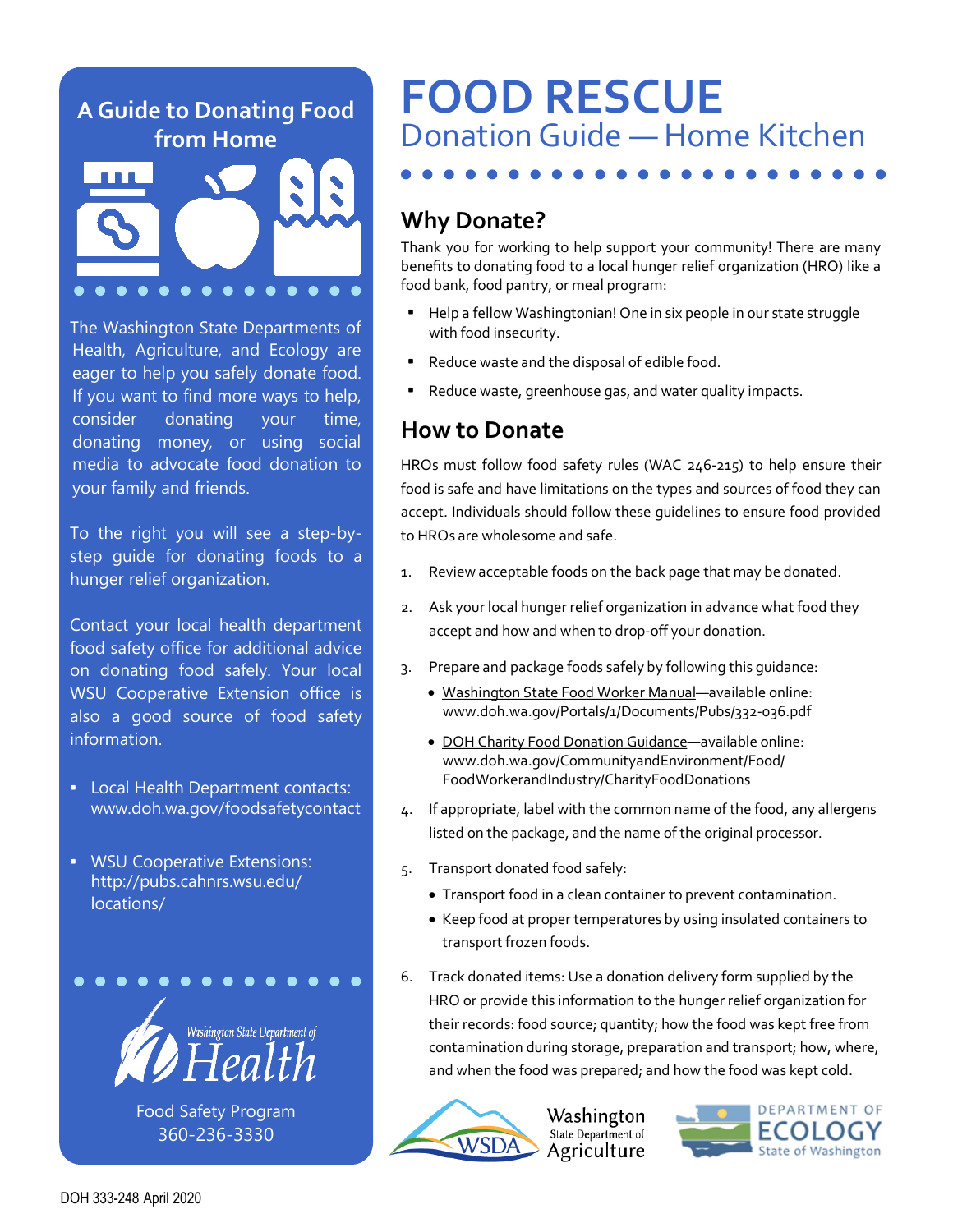#### **A Guide to Donating Food from Home**



The Washington State Departments of Health, Agriculture, and Ecology are eager to help you safely donate food. If you want to find more ways to help, consider donating your time, donating money, or using social media to advocate food donation to your family and friends.

To the right you will see a step-bystep guide for donating foods to a hunger relief organization.

Contact your local health department food safety office for additional advice on donating food safely. Your local WSU Cooperative Extension office is also a good source of food safety information.

- Local Health Department contacts: [www.doh.wa.gov/foodsafetycontact](https://www.doh.wa.gov/AboutUs/ProgramsandServices/EnvironmentalPublicHealth/EnvironmentalHealthandSafety/FoodSafety/Contacts)
- WSU Cooperative Extensions: [http://pubs.cahnrs.wsu.edu/](http://pubs.cahnrs.wsu.edu/locations/) [locations/](http://pubs.cahnrs.wsu.edu/locations/)



[Food Safety Program](http://www.doh.wa.gov/foodsafety) 360-236-3330

# **FOOD RESCUE** Donation Guide — Home Kitchen

#### **Why Donate?**

Thank you for working to help support your community! There are many benefits to donating food to a local hunger relief organization (HRO) like a food bank, food pantry, or meal program:

- Help a fellow Washingtonian! One in six people in our state struggle with food insecurity.
- Reduce waste and the disposal of edible food.
- Reduce waste, greenhouse gas, and water quality impacts.

#### **How to Donate**

HROs must follow food safety rules (WAC 246-215) to help ensure their food is safe and have limitations on the types and sources of food they can accept. Individuals should follow these guidelines to ensure food provided to HROs are wholesome and safe.

- 1. Review acceptable foods on the back page that may be donated.
- 2. Ask your local hunger relief organization in advance what food they accept and how and when to drop-off your donation.
- 3. Prepare and package foods safely by following this guidance:
	- [Washington State Food Worker Manual—](https://www.doh.wa.gov/Portals/1/Documents/Pubs/332-036.pdf)available online: www.doh.wa.gov/Portals/1/Documents/Pubs/332-036.pdf
	- DOH Charity Food Donation Guidance-available online: www.doh.wa.gov/CommunityandEnvironment/Food/ FoodWorkerandIndustry/CharityFoodDonations
- 4. If appropriate, label with the common name of the food, any allergens listed on the package, and the name of the original processor.
- 5. Transport donated food safely:
	- Transport food in a clean container to prevent contamination.
	- Keep food at proper temperatures by using insulated containers to transport frozen foods.
- 6. Track donated items: Use a donation delivery form supplied by the HRO or provide this information to the hunger relief organization for their records: food source; quantity; how the food was kept free from contamination during storage, preparation and transport; how, where, and when the food was prepared; and how the food was kept cold.



Washington State Department of Agriculture